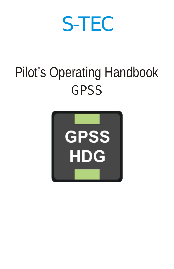# S-TEC

## Pilot's Operating Handboo k**GPSS**

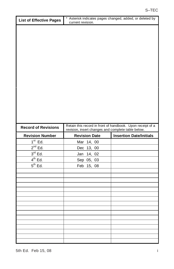| List of Effective Pages    | current revision.                                  | Asterisk indicates pages changed, added, or deleted by     |
|----------------------------|----------------------------------------------------|------------------------------------------------------------|
|                            |                                                    |                                                            |
|                            |                                                    |                                                            |
|                            |                                                    |                                                            |
|                            |                                                    |                                                            |
|                            |                                                    |                                                            |
|                            |                                                    |                                                            |
|                            |                                                    |                                                            |
|                            |                                                    |                                                            |
|                            |                                                    |                                                            |
|                            |                                                    |                                                            |
|                            |                                                    |                                                            |
|                            |                                                    |                                                            |
|                            |                                                    |                                                            |
|                            |                                                    |                                                            |
|                            |                                                    |                                                            |
| <b>Record of Revisions</b> | revision, insert changes and complete table below. | Retain this record in front of handbook. Upon receipt of a |
| <b>Revision Number</b>     | <b>Revision Date</b>                               | <b>Insertion Date/Initials</b>                             |
| $1st$ Ed.                  | Mar 14, 00                                         |                                                            |
| $2^{nd}$ Ed.               | Dec 13, 00                                         |                                                            |
| $3rd$ Ed.                  | Jan 14, 02                                         |                                                            |
| $4^{th}$ Ed.               | Sep 05, 03                                         |                                                            |
| $5th$ Ed.                  | Feb 15, 08                                         |                                                            |
|                            |                                                    |                                                            |
|                            |                                                    |                                                            |
|                            |                                                    |                                                            |
|                            |                                                    |                                                            |
|                            |                                                    |                                                            |
|                            |                                                    |                                                            |
|                            |                                                    |                                                            |
|                            |                                                    |                                                            |
|                            |                                                    |                                                            |
|                            |                                                    |                                                            |
|                            |                                                    |                                                            |
|                            |                                                    |                                                            |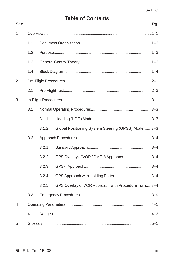## **Table of Contents**

| ï<br>٠<br>ı |
|-------------|
|-------------|

| 1              |     |       |                                                    |  |
|----------------|-----|-------|----------------------------------------------------|--|
|                | 1.1 |       |                                                    |  |
|                | 1.2 |       |                                                    |  |
| 1.3<br>1.4     |     |       |                                                    |  |
|                |     |       |                                                    |  |
| $\overline{2}$ |     |       |                                                    |  |
|                | 2.1 |       |                                                    |  |
| 3              |     |       |                                                    |  |
|                | 3.1 |       |                                                    |  |
|                |     | 3.1.1 |                                                    |  |
|                |     | 3.1.2 | Global Positioning System Steering (GPSS) Mode3-3  |  |
|                | 3.2 |       |                                                    |  |
|                |     | 3.2.1 |                                                    |  |
|                |     | 3.2.2 | GPS Overlay of VOR / DME-A Approach3-4             |  |
|                |     | 3.2.3 |                                                    |  |
|                |     | 3.2.4 | GPS Approach with Holding Pattern3-4               |  |
|                |     | 3.2.5 | GPS Overlay of VOR Approach with Procedure Turn3-4 |  |
|                | 3.3 |       |                                                    |  |
| 4              |     |       |                                                    |  |
|                | 4.1 |       |                                                    |  |
| 5              |     |       |                                                    |  |

Sec.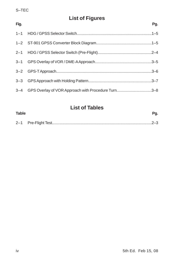## **List of Figures**

| Fig. |                                                        | Pq. |
|------|--------------------------------------------------------|-----|
|      |                                                        |     |
|      |                                                        |     |
|      |                                                        |     |
|      |                                                        |     |
|      |                                                        |     |
|      |                                                        |     |
|      | 3-4 GPS Overlay of VOR Approach with Procedure Turn3-8 |     |

## **List of Tables**

| Table |  |
|-------|--|
|       |  |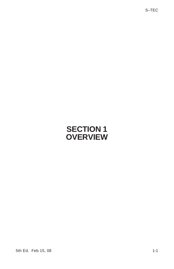**SECTION 1 OVERVIEW** S–TEC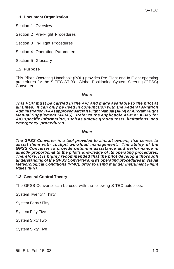#### **1.1 Document Organization**

Section 1 Overview

Section 2 Pre-Flight Procedures

Section 3 In-Flight Procedures

Section 4 Operating Parameters

Section 5 Glossary

#### **1.2 Purpose**

This Pilot's Operating Handbook (POH) provides Pre-Flight and In-Flight operating procedures for the S-TEC ST-901 Global Positioning System Steering (GPSS) Converter.

#### *Note:*

*This POH must be carried in the A/C and made available to the pilot at all times. It can only be used in conjunction with the Federal Aviation Administration (FAA) approved Aircraft Flight Manual (AFM) or Aircraft Flight Manual Supplement (AFMS). Refer to the applicable AFM or AFMS for A/C specific information, such as unique ground tests, limitations, and emergency procedures.*

#### *Note:*

*The GPSS Converter is a tool provided to aircraft owners, that serves to assist them with cockpit workload management. The ability of the GPSS Converter to provide optimum assistance and performance is directly proportional to the pilot's knowledge of its operating procedures. Therefore, it is highly recommended that the pilot develop a thorough understanding of the GPSS Converter and its operating procedures in Visual Meteorological Conditions (VMC), prior to using it under Instrument Flight Rules (IFR).*

#### **1.3 General Control Theory**

The GPSS Converter can be used with the following S-TEC autopilots:

System Twenty / Thirty

System Forty / Fifty

System Fifty Five

System Sixty Two

System Sixty Five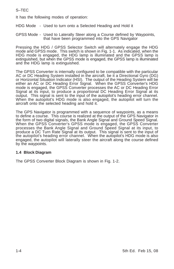It has the following modes of operation:

HDG Mode - Used to turn onto a Selected Heading and Hold it

GPSS Mode - Used to Laterally Steer along a Course defined by Waypoints, that have been programmed into the GPS Navigator

Pressing the HDG / GPSS Selector Switch will alternately engage the HDG mode and GPSS mode. This switch is shown in Fig. 1-1. As indicated, when the HDG mode is engaged, the HDG lamp is illuminated and the GPSS lamp is extinguished, but when the GPSS mode is engaged, the GPSS lamp is illuminated and the HDG lamp is extinguished.

The GPSS Converter is internally configured to be compatible with the particular AC or DC Heading System installed in the aircraft, be it a Directional Gyro (DG) or Horizontal Situation Indicator (HSI). The output of the Heading System will be either an AC or DC Heading Error Signal. When the GPSS Converter's HDG mode is engaged, the GPSS Converter processes the AC or DC Heading Error Signal at its input, to produce a proportional DC Heading Error Signal at its output. This signal is sent to the input of the autopilot's heading error channel. When the autopilot's HDG mode is also engaged, the autopilot will turn the aircraft onto the selected heading and hold it.

The GPS Navigator is programmed with a sequence of waypoints, as a means to define a course. This course is realized at the output of the GPS Navigator in the form of two digital signals, the Bank Angle Signal and Ground Speed Signal. When the GPSS Converter's GPSS mode is engaged, the GPSS Converter processes the Bank Angle Signal and Ground Speed Signal at its input, to produce a DC Turn Rate Signal at its output. This signal is sent to the input of the autopilot's heading error channel. When the autopilot's HDG mode is also engaged, the autopilot will laterally steer the aircraft along the course defined by the waypoints.

#### **1.4 Block Diagram**

The GPSS Converter Block Diagram is shown in Fig. 1-2.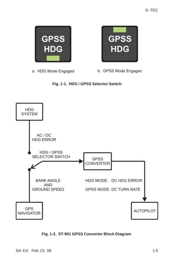

a. HDG Mode Engaged

b. GPSS Mode Engaged

**GPSS** 

**HDG** 





#### **Fig. 1-2. ST-901 GPSS Converter Block Diagram**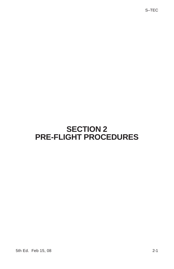**SECTION 2 PRE-FLIGHT PROCEDURES**

S–TEC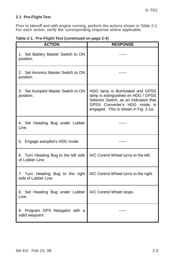#### **2.1 Pre-Flight Test**

Prior to takeoff and with engine running, perform the actions shown in Table 2-1. For each action, verify the corresponding response where applicable.

|  |  | Table 2-1. Pre-Flight Test (continued on page 2-4) |  |
|--|--|----------------------------------------------------|--|
|--|--|----------------------------------------------------|--|

| <b>ACTION</b>                                            | <b>RESPONSE</b>                                                                                                                                                                          |
|----------------------------------------------------------|------------------------------------------------------------------------------------------------------------------------------------------------------------------------------------------|
| 1. Set Battery Master Switch to ON<br>position.          |                                                                                                                                                                                          |
| 2. Set Avionics Master Switch to ON<br>position.         |                                                                                                                                                                                          |
| 3. Set Autopilot Master Switch to ON<br>position.        | HDG lamp is illuminated and GPSS<br>lamp is extinguished on HDG / GPSS<br>Selector Switch, as an indication that<br>GPSS Converter's HDG mode is<br>engaged. This is shown in Fig. 2-1a. |
| 4. Set Heading Bug under Lubber<br>Line.                 |                                                                                                                                                                                          |
| 5. Engage autopilot's HDG mode.                          |                                                                                                                                                                                          |
| 6. Turn Heading Bug to the left side<br>of Lubber Line.  | A/C Control Wheel turns to the left.                                                                                                                                                     |
| 7. Turn Heading Bug to the right<br>side of Lubber Line. | A/C Control Wheel turns to the right.                                                                                                                                                    |
| 8. Set Heading Bug under Lubber<br>Line.                 | A/C Control Wheel stops.                                                                                                                                                                 |
| 9. Program GPS Navigator with a<br>valid waypoint.       |                                                                                                                                                                                          |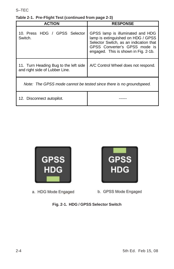| <b>ACTION</b>                                                           | <b>RESPONSE</b>                                                                                                                                                                           |  |
|-------------------------------------------------------------------------|-------------------------------------------------------------------------------------------------------------------------------------------------------------------------------------------|--|
| 10. Press HDG / GPSS Selector<br>Switch.                                | GPSS lamp is illuminated and HDG<br>lamp is extinguished on HDG / GPSS<br>Selector Switch, as an indication that<br>GPSS Converter's GPSS mode is<br>engaged. This is shown in Fig. 2-1b. |  |
| 11. Turn Heading Bug to the left side<br>and right side of Lubber Line. | A/C Control Wheel does not respond.                                                                                                                                                       |  |
| Note: The GPSS mode cannot be tested since there is no groundspeed.     |                                                                                                                                                                                           |  |
| 12. Disconnect autopilot.                                               |                                                                                                                                                                                           |  |



a. HDG Mode Engaged



b. GPSS Mode Engaged

**Fig. 2-1. HDG / GPSS Selector Switch**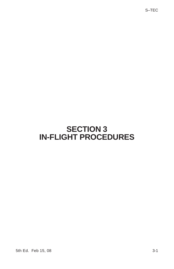**SECTION 3 IN-FLIGHT PROCEDURES** S–TEC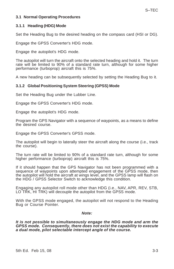#### **3.1 Normal Operating Procedures**

#### **3.1.1 Heading (HDG) Mode**

Set the Heading Bug to the desired heading on the compass card (HSI or DG).

Engage the GPSS Converter's HDG mode.

Engage the autopilot's HDG mode.

The autopilot will turn the aircraft onto the selected heading and hold it. The turn rate will be limited to 90% of a standard rate turn, although for some higher performance (turboprop) aircraft this is 75%.

A new heading can be subsequently selected by setting the Heading Bug to it.

#### **3.1.2 Global Positioning System Steering (GPSS) Mode**

Set the Heading Bug under the Lubber Line.

Engage the GPSS Converter's HDG mode.

Engage the autopilot's HDG mode.

Program the GPS Navigator with a sequence of waypoints, as a means to define the desired course.

Engage the GPSS Converter's GPSS mode.

The autopilot will begin to laterally steer the aircraft along the course (i.e., track the course).

The turn rate will be limited to 90% of a standard rate turn, although for some higher performance (turboprop) aircraft this is 75%.

If it should happen that the GPS Navigator has not been programmed with a sequence of waypoints upon attempted engagement of the GPSS mode, then the autopilot will hold the aircraft at wings level, and the GPSS lamp will flash on the HDG / GPSS Selector Switch to acknowledge this condition.

Engaging any autopilot roll mode other than HDG (i.e., NAV, APR, REV, STB, LO TRK, HI TRK) will decouple the autopilot from the GPSS mode.

With the GPSS mode engaged, the autopilot will not respond to the Heading Bug or Course Pointer.

#### *Note:*

*It is not possible to simultaneously engage the HDG mode and arm the GPSS mode. Consequently, there does not exist the capability to execute a dual mode, pilot selectable intercept angle of the course.*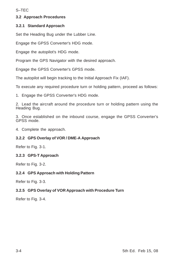#### **3.2 Approach Procedures**

#### **3.2.1 Standard Approach**

Set the Heading Bug under the Lubber Line.

Engage the GPSS Converter's HDG mode.

Engage the autopilot's HDG mode.

Program the GPS Navigator with the desired approach.

Engage the GPSS Converter's GPSS mode.

The autopilot will begin tracking to the Initial Approach Fix (IAF).

To execute any required procedure turn or holding pattern, proceed as follows:

1. Engage the GPSS Converter's HDG mode.

2. Lead the aircraft around the procedure turn or holding pattern using the Heading Bug.

3. Once established on the inbound course, engage the GPSS Converter's GPSS mode.

4. Complete the approach.

#### **3.2.2 GPS Overlay of VOR / DME-A Approach**

Refer to Fig. 3-1.

#### **3.2.3 GPS-T Approach**

Refer to Fig. 3-2.

#### **3.2.4 GPS Approach with Holding Pattern**

Refer to Fig. 3-3.

#### **3.2.5 GPS Overlay of VOR Approach with Procedure Turn**

Refer to Fig. 3-4.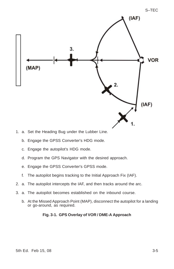

- 1. a. Set the Heading Bug under the Lubber Line.
	- b. Engage the GPSS Converter's HDG mode.
	- c. Engage the autopilot's HDG mode.
	- d. Program the GPS Navigator with the desired approach.
	- e. Engage the GPSS Converter's GPSS mode.
	- f. The autopilot begins tracking to the Initial Approach Fix (IAF).
- 2. a. The autopilot intercepts the IAF, and then tracks around the arc.
- 3. a. The autopilot becomes established on the inbound course.
	- b. At the Missed Approach Point (MAP), disconnect the autopilot for a landing or go-around, as required.

#### **Fig. 3-1. GPS Overlay of VOR / DME-A Approach**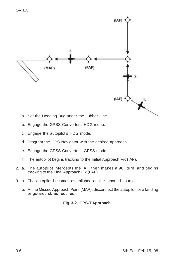

- b. Engage the GPSS Converter's HDG mode.
	- c. Engage the autopilot's HDG mode.
	- d. Program the GPS Navigator with the desired approach.
	- e. Engage the GPSS Converter's GPSS mode.
	- f. The autopilot begins tracking to the Initial Approach Fix (IAF).
- 2. a. The autopilot intercepts the IAF, then makes a  $90^\circ$  turn, and begins tracking to the Final Approach Fix (FAF).
- 3. a. The autopilot becomes established on the inbound course.
	- b. At the Missed Approach Point (MAP), disconnect the autopilot for a landing or go-around, as required.

#### **Fig. 3-2. GPS-T Approach**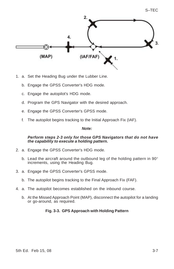

- 1. a. Set the Heading Bug under the Lubber Line.
	- b. Engage the GPSS Converter's HDG mode.
	- c. Engage the autopilot's HDG mode.
	- d. Program the GPS Navigator with the desired approach.
	- e. Engage the GPSS Converter's GPSS mode.
	- f. The autopilot begins tracking to the Initial Approach Fix (IAF).

#### *Note:*

#### *Perform steps 2-3 only for those GPS Navigators that do not have the capability to execute a holding pattern.*

- 2. a. Engage the GPSS Converter's HDG mode.
	- b. Lead the aircraft around the outbound leg of the holding pattern in 90° increments, using the Heading Bug.
- 3. a. Engage the GPSS Converter's GPSS mode.
	- b. The autopilot begins tracking to the Final Approach Fix (FAF).
- 4. a. The autopilot becomes established on the inbound course.
	- b. At the Missed Approach Point (MAP), disconnect the autopilot for a landing or go-around, as required.

#### **Fig. 3-3. GPS Approach with Holding Pattern**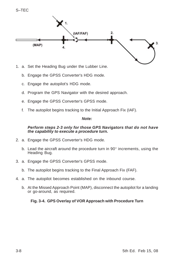$2.$ (IAF/FAF) 3.  $(MAP)$ 4.

- 1. a. Set the Heading Bug under the Lubber Line.
	- b. Engage the GPSS Converter's HDG mode.
	- c. Engage the autopilot's HDG mode.

S–TEC

- d. Program the GPS Navigator with the desired approach.
- e. Engage the GPSS Converter's GPSS mode.
- f. The autopilot begins tracking to the Initial Approach Fix (IAF).

#### *Note:*

#### *Perform steps 2-3 only for those GPS Navigators that do not have the capability to execute a procedure turn.*

- 2. a. Engage the GPSS Converter's HDG mode.
	- b. Lead the aircraft around the procedure turn in 90° increments, using the Heading Bug.
- 3. a. Engage the GPSS Converter's GPSS mode.
	- b. The autopilot begins tracking to the Final Approach Fix (FAF).
- 4. a. The autopilot becomes established on the inbound course.
	- b. At the Missed Approach Point (MAP), disconnect the autopilot for a landing or go-around, as required.

#### **Fig. 3-4. GPS Overlay of VOR Approach with Procedure Turn**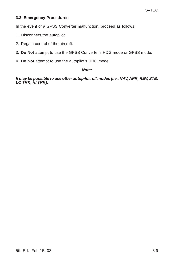#### **3.3 Emergency Procedures**

In the event of a GPSS Converter malfunction, proceed as follows:

- 1. Disconnect the autopilot.
- 2. Regain control of the aircraft.
- 3. **Do Not** attempt to use the GPSS Converter's HDG mode or GPSS mode.
- 4. **Do Not** attempt to use the autopilot's HDG mode.

#### *Note:*

*It may be possible to use other autopilot roll modes (i.e., NAV, APR, REV, STB, LO TRK, HI TRK).*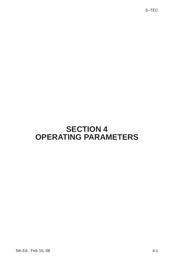**SECTION 4 OPERATING PARAMETERS** S–TEC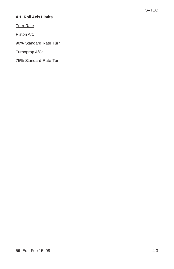#### **4.1 Roll Axis Limits**

Turn Rate

Piston A/C:

90% Standard Rate Turn

Turboprop A/C:

75% Standard Rate Turn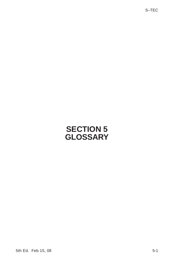**SECTION 5 GLOSSARY** S–TEC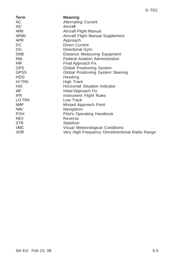| <b>Term</b>  | <b>Meaning</b>                                  |
|--------------|-------------------------------------------------|
| AC           | <b>Alternating Current</b>                      |
| AC           | Aircraft                                        |
| <b>AFM</b>   | Aircraft Flight Manual                          |
| <b>AFMS</b>  | Aircraft Flight Manual Supplement               |
| <b>APR</b>   | Approach                                        |
| DC           | <b>Direct Current</b>                           |
| DG           | Directional Gyro                                |
| <b>DME</b>   | Distance Measuring Equipment                    |
| <b>FAA</b>   | <b>Federal Aviation Administration</b>          |
| <b>FAF</b>   | Final Approach Fix                              |
| <b>GPS</b>   | Global Positioning System                       |
| <b>GPSS</b>  | Global Positioning System Steering              |
| <b>HDG</b>   | Heading                                         |
| <b>HITRK</b> | <b>High Track</b>                               |
| <b>HSI</b>   | Horizontal Situation Indicator                  |
| IAF          | Initial Approach Fix                            |
| <b>IFR</b>   | Instrument Flight Rules                         |
| LO TRK       | Low Track                                       |
| <b>MAP</b>   | Missed Approach Point                           |
| <b>NAV</b>   | Navigation                                      |
| <b>POH</b>   | Pilot's Operating Handbook                      |
| <b>REV</b>   | Reverse                                         |
| <b>STB</b>   | Stabilizer                                      |
| <b>VMC</b>   | Visual Meteorological Conditions                |
| <b>VOR</b>   | Very High Frequency Omnidirectional Radio Range |